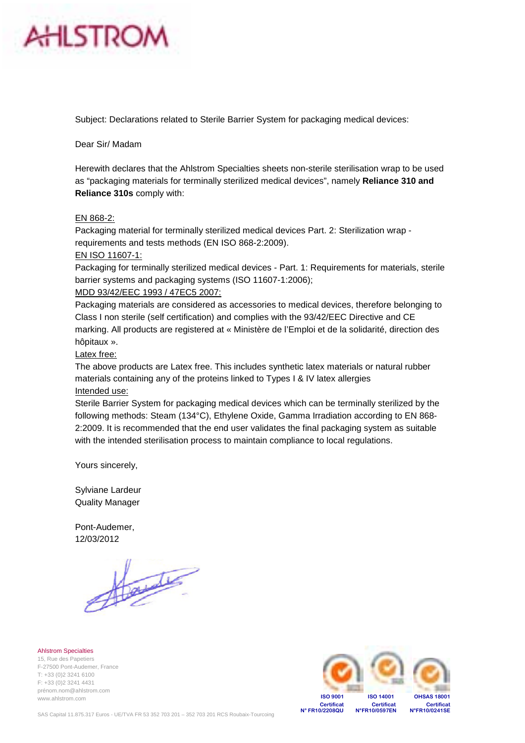

Subject: Declarations related to Sterile Barrier System for packaging medical devices:

Dear Sir/ Madam

Herewith declares that the Ahlstrom Specialties sheets non-sterile sterilisation wrap to be used as "packaging materials for terminally sterilized medical devices", namely **Reliance 310 and Reliance 310s** comply with:

#### EN 868-2:

Packaging material for terminally sterilized medical devices Part. 2: Sterilization wrap requirements and tests methods (EN ISO 868-2:2009).

#### EN ISO 11607-1:

Packaging for terminally sterilized medical devices - Part. 1: Requirements for materials, sterile barrier systems and packaging systems (ISO 11607-1:2006);

#### MDD 93/42/EEC 1993 / 47EC5 2007:

Packaging materials are considered as accessories to medical devices, therefore belonging to Class I non sterile (self certification) and complies with the 93/42/EEC Directive and CE marking. All products are registered at « Ministère de l'Emploi et de la solidarité, direction des hôpitaux ».

#### Latex free:

The above products are Latex free. This includes synthetic latex materials or natural rubber materials containing any of the proteins linked to Types I & IV latex allergies Intended use:

Sterile Barrier System for packaging medical devices which can be terminally sterilized by the following methods: Steam (134°C), Ethylene Oxide, Gamma Irradiation according to EN 868- 2:2009. It is recommended that the end user validates the final packaging system as suitable with the intended sterilisation process to maintain compliance to local regulations.

Yours sincerely,

Sylviane Lardeur Quality Manager

Pont-Audemer, 12/03/2012

Ahlstrom Specialties 15, Rue des Papetiers F-27500 Pont-Audemer, France T: +33 (0)2 3241 6100 F: +33 (0)2 3241 4431 prénom.nom@ahlstrom.com www.ahlstrom.com

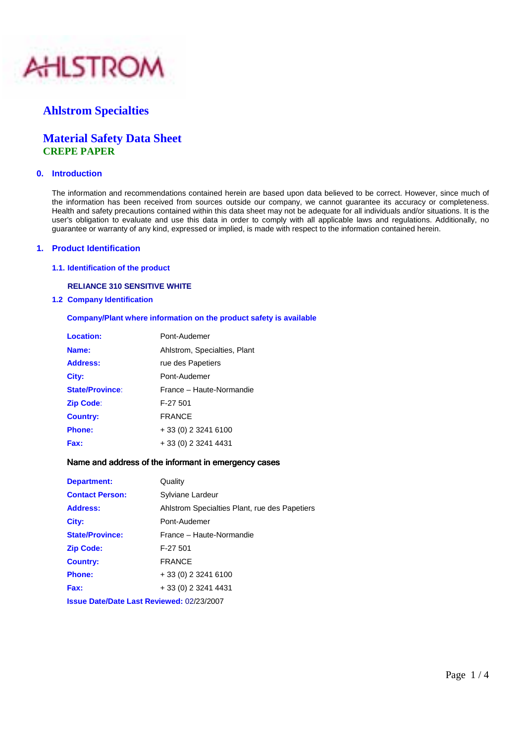

### **Ahlstrom Specialties**

### **Material Safety Data Sheet CREPE PAPER**

#### **0. Introduction**

 The information and recommendations contained herein are based upon data believed to be correct. However, since much of the information has been received from sources outside our company, we cannot guarantee its accuracy or completeness. Health and safety precautions contained within this data sheet may not be adequate for all individuals and/or situations. It is the user's obligation to evaluate and use this data in order to comply with all applicable laws and regulations. Additionally, no guarantee or warranty of any kind, expressed or implied, is made with respect to the information contained herein.

#### **1. Product Identification**

 **1.1. Identification of the product** 

#### **RELIANCE 310 SENSITIVE WHITE**

**1.2 Company Identification**

**Company/Plant where information on the product safety is available**

| <b>Location:</b>       | Pont-Audemer                 |
|------------------------|------------------------------|
| Name:                  | Ahlstrom, Specialties, Plant |
| <b>Address:</b>        | rue des Papetiers            |
| City:                  | Pont-Audemer                 |
| <b>State/Province:</b> | France – Haute-Normandie     |
| <b>Zip Code:</b>       | F-27 501                     |
| <b>Country:</b>        | <b>FRANCE</b>                |
| <b>Phone:</b>          | + 33 (0) 2 3241 6100         |
| Fax:                   | + 33 (0) 2 3241 4431         |

#### Name and address of the informant in emergency cases

| Department:            | Quality                                          |
|------------------------|--------------------------------------------------|
| <b>Contact Person:</b> | Sylviane Lardeur                                 |
| <b>Address:</b>        | Ahlstrom Specialties Plant, rue des Papetiers    |
| City:                  | Pont-Audemer                                     |
| <b>State/Province:</b> | France - Haute-Normandie                         |
| <b>Zip Code:</b>       | F-27 501                                         |
| <b>Country:</b>        | <b>FRANCE</b>                                    |
| <b>Phone:</b>          | $+33(0)$ 2 3241 6100                             |
| Fax:                   | + 33 (0) 2 3241 4431                             |
|                        | <b>Issue Date/Date Last Reviewed: 02/23/2007</b> |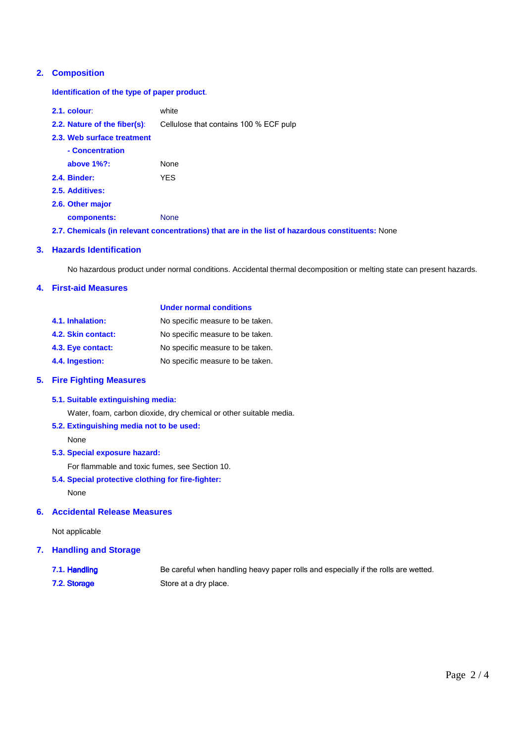#### **2. Composition**

 **Identification of the type of paper product**.

| $2.1.$ colour:                      | white                                  |
|-------------------------------------|----------------------------------------|
| <b>2.2. Nature of the fiber(s):</b> | Cellulose that contains 100 % ECF pulp |
| 2.3. Web surface treatment          |                                        |
| - Concentration                     |                                        |
| above $1\%$ ?:                      | <b>None</b>                            |
| <b>2.4. Binder:</b>                 | YFS                                    |
| 2.5. Additives:                     |                                        |
| 2.6. Other major                    |                                        |
| components:                         | <b>None</b>                            |

 **2.7. Chemicals (in relevant concentrations) that are in the list of hazardous constituents:** None

#### **3. Hazards Identification**

No hazardous product under normal conditions. Accidental thermal decomposition or melting state can present hazards.

#### **4. First-aid Measures**

|                    | <b>Under normal conditions</b>   |  |  |  |
|--------------------|----------------------------------|--|--|--|
| 4.1. Inhalation:   | No specific measure to be taken. |  |  |  |
| 4.2. Skin contact: | No specific measure to be taken. |  |  |  |
| 4.3. Eye contact:  | No specific measure to be taken. |  |  |  |
| 4.4. Ingestion:    | No specific measure to be taken. |  |  |  |

#### **5. Fire Fighting Measures**

#### **5.1. Suitable extinguishing media:**

Water, foam, carbon dioxide, dry chemical or other suitable media.

#### **5.2. Extinguishing media not to be used:**

None

#### **5.3. Special exposure hazard:**

For flammable and toxic fumes, see Section 10.

 **5.4. Special protective clothing for fire-fighter:** 

None

#### **6. Accidental Release Measures**

Not applicable

#### **7. Handling and Storage**

- **7.1. Handling** Be ca reful when handling heavy paper rolls and especially if the rolls are wetted.
- **7.2. Storage** Sto re at a dry place.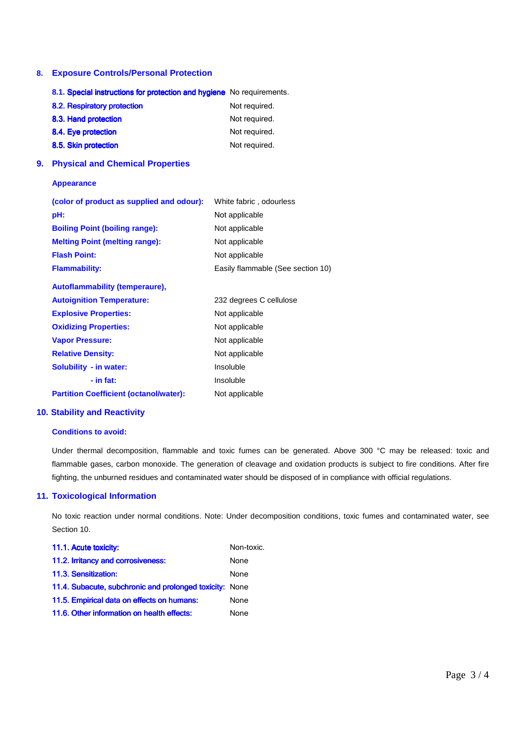#### **8. Exposure Controls/Personal Protection**

|    | 8.1. Special instructions for protection and hygiene No requirements. |                                   |  |
|----|-----------------------------------------------------------------------|-----------------------------------|--|
|    | 8.2. Respiratory protection                                           | Not required.                     |  |
|    | 8.3. Hand protection                                                  | Not required.                     |  |
|    | 8.4. Eye protection                                                   | Not required.                     |  |
|    | 8.5. Skin protection                                                  | Not required.                     |  |
| 9. | <b>Physical and Chemical Properties</b>                               |                                   |  |
|    | <b>Appearance</b>                                                     |                                   |  |
|    | (color of product as supplied and odour):                             | White fabric, odourless           |  |
|    | pH:                                                                   | Not applicable                    |  |
|    | <b>Boiling Point (boiling range):</b>                                 | Not applicable                    |  |
|    | <b>Melting Point (melting range):</b>                                 | Not applicable                    |  |
|    | <b>Flash Point:</b>                                                   | Not applicable                    |  |
|    | <b>Flammability:</b>                                                  | Easily flammable (See section 10) |  |
|    | Autoflammability (temperaure),                                        |                                   |  |
|    | <b>Autoignition Temperature:</b>                                      | 232 degrees C cellulose           |  |
|    | <b>Explosive Properties:</b>                                          | Not applicable                    |  |
|    | <b>Oxidizing Properties:</b>                                          | Not applicable                    |  |
|    | <b>Vapor Pressure:</b>                                                | Not applicable                    |  |
|    | <b>Relative Density:</b>                                              | Not applicable                    |  |
|    | Solubility - in water:                                                | Insoluble                         |  |
|    | $-$ in fat:                                                           | Insoluble                         |  |
|    | <b>Partition Coefficient (octanol/water):</b>                         | Not applicable                    |  |

#### **10. Stability and Reactivity**

#### **Conditions to avoid:**

Under thermal decomposition, flammable and toxic fumes can be generated. Above 300 °C may be released: toxic and flammable gases, carbon monoxide. The generation of cleavage and oxidation products is subject to fire conditions. After fire fighting, the unburned residues and contaminated water should be disposed of in compliance with official regulations.

#### **11. Toxicological Information**

 No toxic reaction under normal conditions. Note: Under decomposition conditions, toxic fumes and contaminated water, see Section 10.

| 11.1. Acute toxicity:                                   | Non-toxic. |
|---------------------------------------------------------|------------|
| 11.2. Irritancy and corrosiveness:                      | None       |
| 11.3. Sensitization:                                    | None       |
| 11.4. Subacute, subchronic and prolonged toxicity: None |            |
| 11.5. Empirical data on effects on humans:              | None       |
| 11.6. Other information on health effects:              | None       |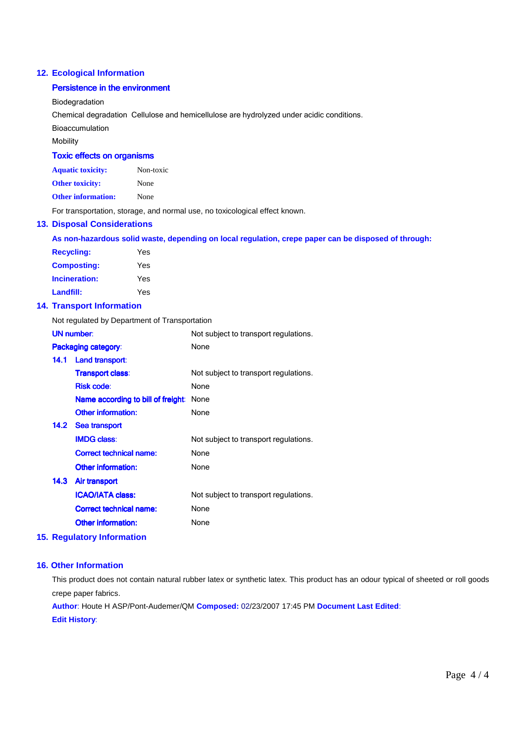#### **12. Ecological Information**

#### **Persistence in the environment**

Biodegradation

Chemical degradation Cellulose and hemicellulose are hydrolyzed under acidic conditions.

Bioaccumulation

Mobility

#### **Toxic effects on organisms**

| <b>Aquatic toxicity:</b> | Non-toxic |
|--------------------------|-----------|
| Other toxicity:          | None      |

**Other information:** None

For transportation, storage, and normal use, no toxicological effect known.

#### **13. Disposal Considerations**

| As non-hazardous solid waste, depending on local regulation, crepe paper can be disposed of through: |  |  |  |
|------------------------------------------------------------------------------------------------------|--|--|--|
|------------------------------------------------------------------------------------------------------|--|--|--|

| <b>Recycling:</b>  | Yes |
|--------------------|-----|
| <b>Composting:</b> | Yes |
| Incineration:      | Yes |
| Landfill:          | Yes |

#### **14. Transport Information**

Not regulated by Department of Transportation

|      | <b>UN number:</b>                  | Not subject to transport regulations. |
|------|------------------------------------|---------------------------------------|
|      | Packaging category:                | None                                  |
| 14.1 | Land transport:                    |                                       |
|      | <b>Transport class:</b>            | Not subject to transport regulations. |
|      | <b>Risk code:</b>                  | None                                  |
|      | Name according to bill of freight: | None                                  |
|      | <b>Other information:</b>          | None                                  |
|      | 14.2 Sea transport                 |                                       |
|      | <b>IMDG class:</b>                 | Not subject to transport regulations. |
|      | <b>Correct technical name:</b>     | None                                  |
|      | Other information:                 | None                                  |
| 14.3 | Air transport                      |                                       |
|      | <b>ICAO/IATA class:</b>            | Not subject to transport regulations. |
|      | <b>Correct technical name:</b>     | None                                  |
|      | Other information:                 | None                                  |
|      |                                    |                                       |

#### **15. Regulatory Information**

#### **16. Other Information**

This product does not contain natural rubber latex or synthetic latex. This product has an odour typical of sheeted or roll goods crepe paper fabrics.

Author: Houte H ASP/Pont-Audemer/QM Composed: 02/23/2007 17:45 PM Document Last Edited: **Edit History:**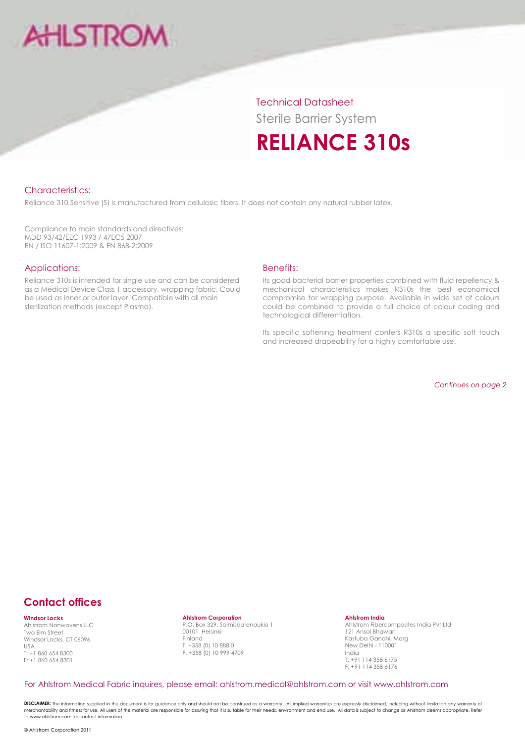# **AHLSTRO**

**Technical Datasheet Sterile Barrier System RELIANCE 310s** 

#### **Characteristics:**

Reliance 310 Sensitive (S) is manufactured from cellulosic fibers. It does not contain any natural rubber latex.

Compliance to main standards and directives: MDD 93/42/EEC 1993 / 47EC5 2007 EN / ISO 11607-1:2009 & EN 868-2:2009

#### Applications:

Reliance 310s is intended for single use and can be considered as a Medical Device Class 1 accessory, wrapping fabric. Could be used as inner or outer layer. Compatible with all main sterilization methods (except Plasma).

#### **Benefits:**

Its good bacterial barrier properties combined with fluid repellency & mechanical characteristics makes R310s the best economical compromise for wrapping purpose. Available in wide set of colours could be combined to provide a full choice of colour coding and technological differentiation.

Its specific softening treatment confers R310s a specific soft touch and increased drapeability for a highly comfortable use.

Continues on page 2

# **Contact offices**

**Windsor Locks** 

Ahlstrom Nonwovens II C Two Elm Street Windsor Locks, CT 06096 USA T: +1 860 654 8300  $F + 18606548301$ 

**Ahlstrom Corporation**<br>P.O. Box 329, Salmisaarenaukio 1 00101 Helsinki Finland  $T: +358(0)108880$ F: +358 (0) 10 999 4709

**Ahlstrom India** 

Ahlstrom Fibercomposites India Pvt Ltd 121 Ansal Bhawan Kastuba Gandhi, Marg New Delhi - 110001 India  $T: +91$  114 358 6175 F: +91 114 358 6176

#### For Ahlstrom Medical Fabric inquires, please email: ahlstrom.medical@ahlstrom.com or visit www.ahlstrom.com

DISCLAIMER: The information supplied in this document is for guidance only and should not be construed as a warranty. All implied warranties are expressly disclaimed, including without limitation any warranty of merchantability and fitness for use. All users of the material are responsible for assuring that it is suitable for their needs, environment and end use. All adta is subject to change as Ahlstrom deems appropriate. Refer to www.ahlstrom.com for contact information